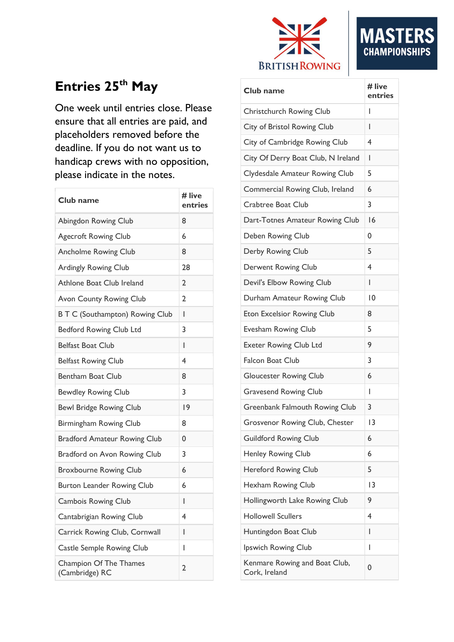

# **MA CHAMPIONSHIPS**

#### Entries 25<sup>th</sup> May

One week until entries close. Please ensure that all entries are paid, and placeholders removed before the deadline. If you do not want us to handicap crews with no opposition, please indicate in the notes.

| Club name                                       | # live<br>entries |
|-------------------------------------------------|-------------------|
| Abingdon Rowing Club                            | 8                 |
| <b>Agecroft Rowing Club</b>                     | 6                 |
| <b>Ancholme Rowing Club</b>                     | 8                 |
| Ardingly Rowing Club                            | 28                |
| Athlone Boat Club Ireland                       | 2                 |
| Avon County Rowing Club                         | $\overline{2}$    |
| <b>BTC (Southampton) Rowing Club</b>            | I                 |
| <b>Bedford Rowing Club Ltd</b>                  | 3                 |
| Belfast Boat Club                               | ı                 |
| <b>Belfast Rowing Club</b>                      | 4                 |
| Bentham Boat Club                               | 8                 |
| <b>Bewdley Rowing Club</b>                      | 3                 |
| <b>Bewl Bridge Rowing Club</b>                  | 9                 |
| Birmingham Rowing Club                          | 8                 |
| <b>Bradford Amateur Rowing Club</b>             | 0                 |
| Bradford on Avon Rowing Club                    | 3                 |
| <b>Broxbourne Rowing Club</b>                   | 6                 |
| <b>Burton Leander Rowing Club</b>               | 6                 |
| Cambois Rowing Club                             | L                 |
| Cantabrigian Rowing Club                        | 4                 |
| Carrick Rowing Club, Cornwall                   | I                 |
| <b>Castle Semple Rowing Club</b>                | I                 |
| <b>Champion Of The Thames</b><br>(Cambridge) RC | 2                 |

| Club name                                      | # live<br>entries |
|------------------------------------------------|-------------------|
| Christchurch Rowing Club                       | I                 |
| City of Bristol Rowing Club                    | I                 |
| City of Cambridge Rowing Club                  | 4                 |
| City Of Derry Boat Club, N Ireland             | ı                 |
| Clydesdale Amateur Rowing Club                 | 5                 |
| Commercial Rowing Club, Ireland                | 6                 |
| Crabtree Boat Club                             | 3                 |
| Dart-Totnes Amateur Rowing Club                | 16                |
| Deben Rowing Club                              | 0                 |
| Derby Rowing Club                              | 5                 |
| Derwent Rowing Club                            | 4                 |
| Devil's Elbow Rowing Club                      | I                 |
| Durham Amateur Rowing Club                     | $\overline{10}$   |
| Eton Excelsior Rowing Club                     | 8                 |
| Evesham Rowing Club                            | 5                 |
| <b>Exeter Rowing Club Ltd</b>                  | 9                 |
| <b>Falcon Boat Club</b>                        | 3                 |
| <b>Gloucester Rowing Club</b>                  | 6                 |
| <b>Gravesend Rowing Club</b>                   | I                 |
| Greenbank Falmouth Rowing Club                 | 3                 |
| Grosvenor Rowing Club, Chester                 | 3                 |
| <b>Guildford Rowing Club</b>                   | 6                 |
| Henley Rowing Club                             | 6                 |
| Hereford Rowing Club                           | 5                 |
| Hexham Rowing Club                             | 13                |
| Hollingworth Lake Rowing Club                  | 9                 |
| <b>Hollowell Scullers</b>                      | 4                 |
| Huntingdon Boat Club                           | I                 |
| Ipswich Rowing Club                            | I                 |
| Kenmare Rowing and Boat Club,<br>Cork, Ireland | 0                 |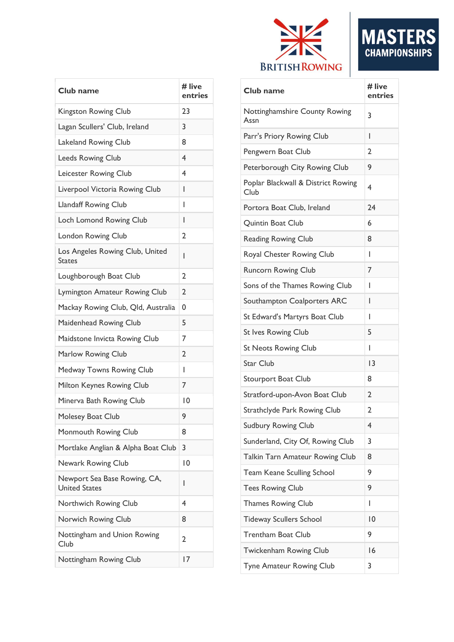

| Club name                                            | # live<br>entries |
|------------------------------------------------------|-------------------|
| Kingston Rowing Club                                 | 23                |
| Lagan Scullers' Club, Ireland                        | 3                 |
| Lakeland Rowing Club                                 | 8                 |
| <b>Leeds Rowing Club</b>                             | 4                 |
| Leicester Rowing Club                                | 4                 |
| Liverpool Victoria Rowing Club                       | I                 |
| <b>Llandaff Rowing Club</b>                          | I                 |
| Loch Lomond Rowing Club                              | I                 |
| London Rowing Club                                   | 2                 |
| Los Angeles Rowing Club, United<br><b>States</b>     | ı                 |
| Loughborough Boat Club                               | 2                 |
| Lymington Amateur Rowing Club                        | 2                 |
| Mackay Rowing Club, Qld, Australia                   | 0                 |
| Maidenhead Rowing Club                               | 5                 |
| Maidstone Invicta Rowing Club                        | 7                 |
| Marlow Rowing Club                                   | 2                 |
| Medway Towns Rowing Club                             | I                 |
| Milton Keynes Rowing Club                            | 7                 |
| Minerva Bath Rowing Club                             | 0                 |
| Molesey Boat Club                                    | 9                 |
| Monmouth Rowing Club                                 | 8                 |
| Mortlake Anglian & Alpha Boat Club                   | 3                 |
| Newark Rowing Club                                   | 10                |
| Newport Sea Base Rowing, CA,<br><b>United States</b> | ı                 |
| Northwich Rowing Club                                | 4                 |
| Norwich Rowing Club                                  | 8                 |
| Nottingham and Union Rowing<br>Club                  | 2                 |
| Nottingham Rowing Club                               | 17                |

| Club name                                  | # live<br>entries |
|--------------------------------------------|-------------------|
| Nottinghamshire County Rowing<br>Assn      | 3                 |
| Parr's Priory Rowing Club                  | I                 |
| Pengwern Boat Club                         | 2                 |
| Peterborough City Rowing Club              | 9                 |
| Poplar Blackwall & District Rowing<br>Club | 4                 |
| Portora Boat Club, Ireland                 | 24                |
| Quintin Boat Club                          | 6                 |
| <b>Reading Rowing Club</b>                 | 8                 |
| Royal Chester Rowing Club                  | ı                 |
| <b>Runcorn Rowing Club</b>                 | 7                 |
| Sons of the Thames Rowing Club             | I                 |
| Southampton Coalporters ARC                | L                 |
| St Edward's Martyrs Boat Club              | ı                 |
| <b>St Ives Rowing Club</b>                 | 5                 |
| <b>St Neots Rowing Club</b>                | ı                 |
| <b>Star Club</b>                           | 3                 |
| <b>Stourport Boat Club</b>                 | 8                 |
| Stratford-upon-Avon Boat Club              | 2                 |
| Strathclyde Park Rowing Club               | 2                 |
| <b>Sudbury Rowing Club</b>                 | 4                 |
| Sunderland, City Of, Rowing Club           | 3                 |
| Talkin Tarn Amateur Rowing Club            | 8                 |
| <b>Team Keane Sculling School</b>          | 9                 |
| <b>Tees Rowing Club</b>                    | 9                 |
| <b>Thames Rowing Club</b>                  | L                 |
| <b>Tideway Scullers School</b>             | $\overline{10}$   |
| <b>Trentham Boat Club</b>                  | 9                 |
| Twickenham Rowing Club                     | 16                |
| Tyne Amateur Rowing Club                   | 3                 |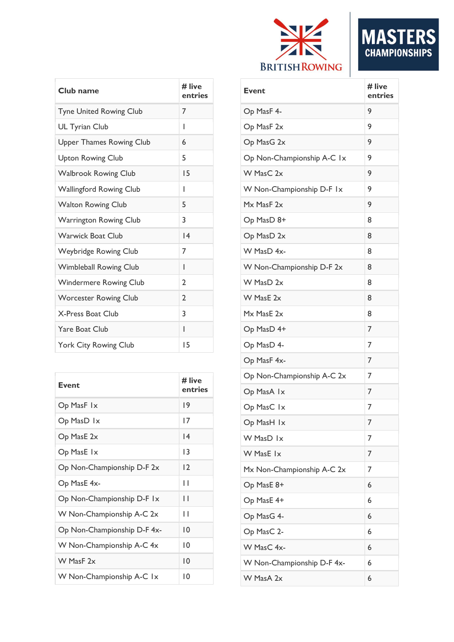

| Club name                       | # live<br>entries | E١             |
|---------------------------------|-------------------|----------------|
| <b>Tyne United Rowing Club</b>  | 7                 | $\overline{O}$ |
| <b>UL Tyrian Club</b>           | I                 | O              |
| <b>Upper Thames Rowing Club</b> | 6                 | O              |
| <b>Upton Rowing Club</b>        | 5                 | $\circ$        |
| <b>Walbrook Rowing Club</b>     | 15                | W              |
| <b>Wallingford Rowing Club</b>  | I                 | W              |
| <b>Walton Rowing Club</b>       | 5                 | M              |
| Warrington Rowing Club          | 3                 | O              |
| <b>Warwick Boat Club</b>        | 4                 | $\circ$        |
| Weybridge Rowing Club           | 7                 | W              |
| <b>Wimbleball Rowing Club</b>   | I                 | W              |
| <b>Windermere Rowing Club</b>   | 2                 | W              |
| <b>Worcester Rowing Club</b>    | $\overline{2}$    | W              |
| X-Press Boat Club               | 3                 | M              |
| <b>Yare Boat Club</b>           | I                 | O              |
| York City Rowing Club           | 15                | O              |
|                                 |                   |                |

| <b>Event</b>                | # live<br>entries |
|-----------------------------|-------------------|
| Op MasF 1x                  | 19                |
| Op MasD 1x                  | 17                |
| Op MasE 2x                  | 14                |
| Op MasE 1x                  | 13                |
| Op Non-Championship D-F 2x  | 2                 |
| Op MasE 4x-                 | Н                 |
| Op Non-Championship D-F Ix  | Н                 |
| W Non-Championship A-C 2x   | Н                 |
| Op Non-Championship D-F 4x- | 10                |
| W Non-Championship A-C 4x   | 10                |
| W MasF 2x                   | $\overline{10}$   |
| W Non-Championship A-C 1x   | 10                |

| I<br><b>Event</b>          | # live<br>entries |
|----------------------------|-------------------|
| Op MasF 4-                 | 9                 |
| Op MasF 2x                 | 9                 |
| Op MasG 2x                 | 9                 |
| Op Non-Championship A-C 1x | 9                 |
| W MasC 2x                  | 9                 |
| W Non-Championship D-F Ix  | 9                 |
| Mx MasF 2x                 | 9                 |
| Op MasD 8+                 | 8                 |
| Op MasD 2x                 | 8                 |
| W MasD 4x-                 | 8                 |
| W Non-Championship D-F 2x  | 8                 |
| W MasD 2x                  | 8                 |
| W MasE 2x                  | 8                 |
| Mx MasE 2x                 | 8                 |
| Op MasD 4+                 | 7                 |
| Op MasD 4-                 | 7                 |
| Op MasF 4x-                | 7                 |
| Op Non-Championship A-C 2x | 7                 |
| Op MasA 1x                 | 7                 |
| Op MasC 1x                 | 7                 |
| Op MasH 1x                 | 7                 |
| W MasD 1x                  | 7                 |
| W MasE 1x                  | 7                 |
| Mx Non-Championship A-C 2x | 7                 |
| Op MasE 8+                 | 6                 |
| Op MasE 4+                 | 6                 |
| Op MasG 4-                 | 6                 |
| Op MasC 2-                 | 6                 |
| W MasC 4x-                 | 6                 |
| W Non-Championship D-F 4x- | 6                 |
| W MasA 2x                  | 6                 |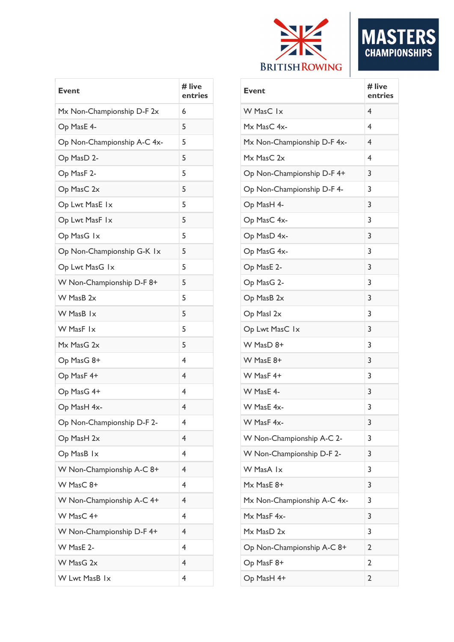

| <b>Event</b>                | # live<br>entries       |
|-----------------------------|-------------------------|
| Mx Non-Championship D-F 2x  | 6                       |
| Op MasE 4-                  | 5                       |
| Op Non-Championship A-C 4x- | 5                       |
| Op MasD 2-                  | 5                       |
| Op MasF 2-                  | 5                       |
| Op MasC 2x                  | 5                       |
| Op Lwt MasE 1x              | 5                       |
| Op Lwt MasF Ix              | 5                       |
| Op MasG 1x                  | 5                       |
| Op Non-Championship G-K 1x  | 5                       |
| Op Lwt MasG Ix              | 5                       |
| W Non-Championship D-F 8+   | 5                       |
| W MasB 2x                   | 5                       |
| W MasB 1x                   | 5                       |
| W MasF Ix                   | 5                       |
| Mx MasG 2x                  | 5                       |
| Op MasG 8+                  | 4                       |
| Op MasF 4+                  | 4                       |
| Op MasG 4+                  | 4                       |
| Op MasH 4x-                 | $\overline{\mathbf{4}}$ |
| Op Non-Championship D-F 2-  | 4                       |
| Op MasH 2x                  | 4                       |
| Op MasB 1x                  | 4                       |
| W Non-Championship A-C 8+   | 4                       |
| W MasC 8+                   | $\overline{4}$          |
| W Non-Championship A-C 4+   | 4                       |
| W MasC 4+                   | 4                       |
| W Non-Championship D-F 4+   | $\overline{\mathbf{4}}$ |
| W MasE 2-                   | 4                       |
| W MasG 2x                   | 4                       |
| W Lwt MasB 1x               | 4                       |

| Event                       | # live<br>entries |
|-----------------------------|-------------------|
| W MasC 1x                   | $\overline{4}$    |
| Mx MasC 4x-                 | 4                 |
| Mx Non-Championship D-F 4x- | $\overline{4}$    |
| Mx MasC 2x                  | 4                 |
| Op Non-Championship D-F 4+  | 3                 |
| Op Non-Championship D-F 4-  | 3                 |
| Op MasH 4-                  | 3                 |
| Op MasC 4x-                 | 3                 |
| Op MasD 4x-                 | 3                 |
| Op MasG 4x-                 | 3                 |
| Op MasE 2-                  | 3                 |
| Op MasG 2-                  | 3                 |
| Op MasB 2x                  | 3                 |
| Op Masl 2x                  | 3                 |
| Op Lwt MasC 1x              | 3                 |
| W MasD 8+                   | 3                 |
| W MasE 8+                   | 3                 |
| W MasF 4+                   | 3                 |
| W MasE 4-                   | 3                 |
| W MasE 4x-                  | 3                 |
| W MasF 4x-                  | 3                 |
| W Non-Championship A-C 2-   | 3                 |
| W Non-Championship D-F 2-   | 3                 |
| W MasA Ix                   | 3                 |
| Mx MasE 8+                  | 3                 |
| Mx Non-Championship A-C 4x- | 3                 |
| Mx MasF 4x-                 | 3                 |
| Mx MasD 2x                  | 3                 |
| Op Non-Championship A-C 8+  | 2                 |
| Op MasF 8+                  | $\overline{2}$    |
| Op MasH 4+                  | $\overline{2}$    |